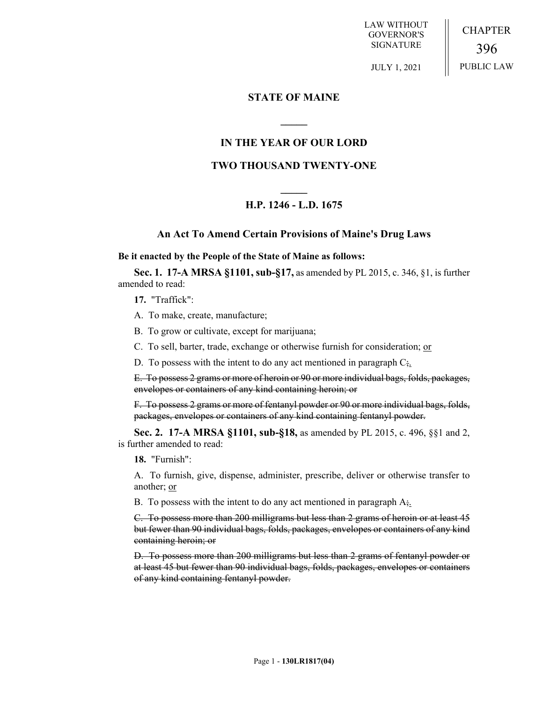LAW WITHOUT GOVERNOR'S SIGNATURE CHAPTER 396

JULY 1, 2021

PUBLIC LAW

### **STATE OF MAINE**

## **IN THE YEAR OF OUR LORD**

**\_\_\_\_\_**

### **TWO THOUSAND TWENTY-ONE**

# **\_\_\_\_\_ H.P. 1246 - L.D. 1675**

### **An Act To Amend Certain Provisions of Maine's Drug Laws**

#### **Be it enacted by the People of the State of Maine as follows:**

**Sec. 1. 17-A MRSA §1101, sub-§17,** as amended by PL 2015, c. 346, §1, is further amended to read:

**17.** "Traffick":

- A. To make, create, manufacture;
- B. To grow or cultivate, except for marijuana;
- C. To sell, barter, trade, exchange or otherwise furnish for consideration; or
- D. To possess with the intent to do any act mentioned in paragraph  $C_{\frac{1}{2}}$ .

E. To possess 2 grams or more of heroin or 90 or more individual bags, folds, packages, envelopes or containers of any kind containing heroin; or

F. To possess 2 grams or more of fentanyl powder or 90 or more individual bags, folds, packages, envelopes or containers of any kind containing fentanyl powder.

**Sec. 2. 17-A MRSA §1101, sub-§18,** as amended by PL 2015, c. 496, §§1 and 2, is further amended to read:

**18.** "Furnish":

A. To furnish, give, dispense, administer, prescribe, deliver or otherwise transfer to another; or

B. To possess with the intent to do any act mentioned in paragraph  $A_{\frac{1}{2}}$ .

C. To possess more than 200 milligrams but less than 2 grams of heroin or at least 45 but fewer than 90 individual bags, folds, packages, envelopes or containers of any kind containing heroin; or

D. To possess more than 200 milligrams but less than 2 grams of fentanyl powder or at least 45 but fewer than 90 individual bags, folds, packages, envelopes or containers of any kind containing fentanyl powder.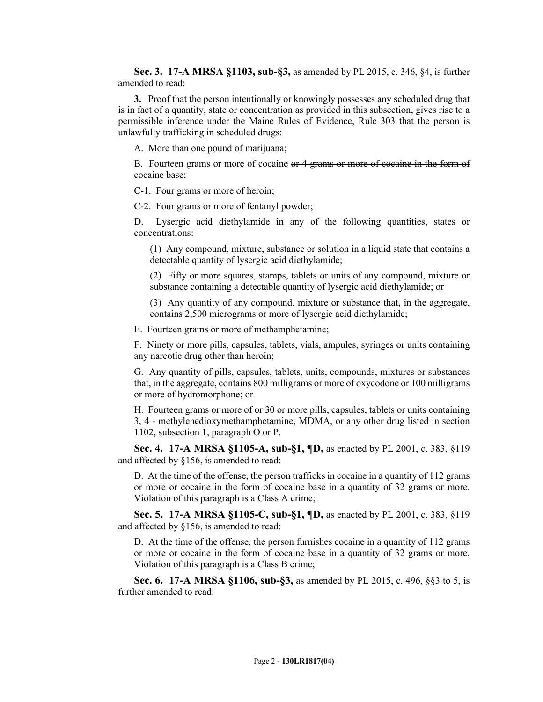**Sec. 3. 17-A MRSA §1103, sub-§3,** as amended by PL 2015, c. 346, §4, is further amended to read:

**3.** Proof that the person intentionally or knowingly possesses any scheduled drug that is in fact of a quantity, state or concentration as provided in this subsection, gives rise to a permissible inference under the Maine Rules of Evidence, Rule 303 that the person is unlawfully trafficking in scheduled drugs:

A. More than one pound of marijuana;

B. Fourteen grams or more of cocaine or 4 grams or more of cocaine in the form of cocaine base;

C-1. Four grams or more of heroin;

C-2. Four grams or more of fentanyl powder;

D. Lysergic acid diethylamide in any of the following quantities, states or concentrations:

(1) Any compound, mixture, substance or solution in a liquid state that contains a detectable quantity of lysergic acid diethylamide;

(2) Fifty or more squares, stamps, tablets or units of any compound, mixture or substance containing a detectable quantity of lysergic acid diethylamide; or

(3) Any quantity of any compound, mixture or substance that, in the aggregate, contains 2,500 micrograms or more of lysergic acid diethylamide;

E. Fourteen grams or more of methamphetamine;

F. Ninety or more pills, capsules, tablets, vials, ampules, syringes or units containing any narcotic drug other than heroin;

G. Any quantity of pills, capsules, tablets, units, compounds, mixtures or substances that, in the aggregate, contains 800 milligrams or more of oxycodone or 100 milligrams or more of hydromorphone; or

H. Fourteen grams or more of or 30 or more pills, capsules, tablets or units containing 3, 4 - methylenedioxymethamphetamine, MDMA, or any other drug listed in section 1102, subsection 1, paragraph O or P.

**Sec. 4. 17-A MRSA §1105-A, sub-§1, ¶D,** as enacted by PL 2001, c. 383, §119 and affected by §156, is amended to read:

D. At the time of the offense, the person trafficks in cocaine in a quantity of 112 grams or more or cocaine in the form of cocaine base in a quantity of 32 grams or more. Violation of this paragraph is a Class A crime;

**Sec. 5. 17-A MRSA §1105-C, sub-§1, ¶D,** as enacted by PL 2001, c. 383, §119 and affected by §156, is amended to read:

D. At the time of the offense, the person furnishes cocaine in a quantity of 112 grams or more or cocaine in the form of cocaine base in a quantity of 32 grams or more. Violation of this paragraph is a Class B crime;

**Sec. 6. 17-A MRSA §1106, sub-§3,** as amended by PL 2015, c. 496, §§3 to 5, is further amended to read: